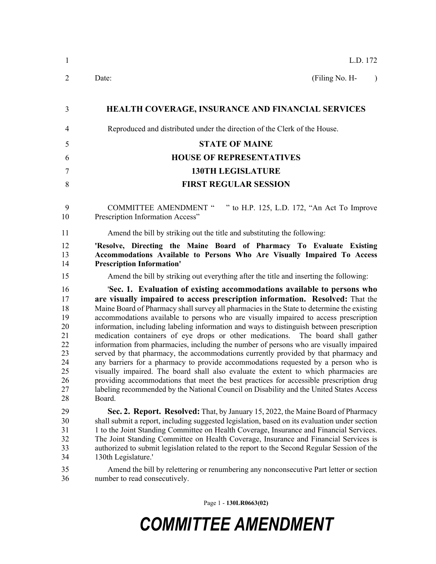| $\overline{2}$<br>(Filing No. H-<br>Date:<br>$\lambda$<br><b>HEALTH COVERAGE, INSURANCE AND FINANCIAL SERVICES</b><br>3<br>Reproduced and distributed under the direction of the Clerk of the House.<br>$\overline{4}$<br><b>STATE OF MAINE</b><br>5<br><b>HOUSE OF REPRESENTATIVES</b><br>6<br><b>130TH LEGISLATURE</b><br>$\overline{7}$<br><b>FIRST REGULAR SESSION</b><br>8<br>" to H.P. 125, L.D. 172, "An Act To Improve<br><b>COMMITTEE AMENDMENT "</b><br>9<br>Prescription Information Access"<br>10<br>Amend the bill by striking out the title and substituting the following:<br>11<br>12<br>'Resolve, Directing the Maine Board of Pharmacy To Evaluate Existing<br>13<br>Accommodations Available to Persons Who Are Visually Impaired To Access<br>14<br><b>Prescription Information'</b><br>15<br>Amend the bill by striking out everything after the title and inserting the following:<br>'Sec. 1. Evaluation of existing accommodations available to persons who<br>16<br>are visually impaired to access prescription information. Resolved: That the<br>17<br>Maine Board of Pharmacy shall survey all pharmacies in the State to determine the existing<br>18<br>accommodations available to persons who are visually impaired to access prescription<br>19<br>information, including labeling information and ways to distinguish between prescription<br>20<br>21<br>medication containers of eye drops or other medications. The board shall gather<br>22<br>information from pharmacies, including the number of persons who are visually impaired<br>23<br>served by that pharmacy, the accommodations currently provided by that pharmacy and<br>24<br>any barriers for a pharmacy to provide accommodations requested by a person who is<br>25<br>visually impaired. The board shall also evaluate the extent to which pharmacies are<br>providing accommodations that meet the best practices for accessible prescription drug<br>26<br>27<br>labeling recommended by the National Council on Disability and the United States Access<br>28<br>Board.<br>29<br>Sec. 2. Report. Resolved: That, by January 15, 2022, the Maine Board of Pharmacy<br>30<br>shall submit a report, including suggested legislation, based on its evaluation under section<br>31<br>1 to the Joint Standing Committee on Health Coverage, Insurance and Financial Services.<br>32<br>The Joint Standing Committee on Health Coverage, Insurance and Financial Services is<br>33<br>authorized to submit legislation related to the report to the Second Regular Session of the<br>34<br>130th Legislature.'<br>35<br>Amend the bill by relettering or renumbering any nonconsecutive Part letter or section<br>36<br>number to read consecutively. | $\mathbf{1}$ | L.D. 172 |
|--------------------------------------------------------------------------------------------------------------------------------------------------------------------------------------------------------------------------------------------------------------------------------------------------------------------------------------------------------------------------------------------------------------------------------------------------------------------------------------------------------------------------------------------------------------------------------------------------------------------------------------------------------------------------------------------------------------------------------------------------------------------------------------------------------------------------------------------------------------------------------------------------------------------------------------------------------------------------------------------------------------------------------------------------------------------------------------------------------------------------------------------------------------------------------------------------------------------------------------------------------------------------------------------------------------------------------------------------------------------------------------------------------------------------------------------------------------------------------------------------------------------------------------------------------------------------------------------------------------------------------------------------------------------------------------------------------------------------------------------------------------------------------------------------------------------------------------------------------------------------------------------------------------------------------------------------------------------------------------------------------------------------------------------------------------------------------------------------------------------------------------------------------------------------------------------------------------------------------------------------------------------------------------------------------------------------------------------------------------------------------------------------------------------------------------------------------------------------------------------------------------------------------------------------------------------------------------------------------------------------------------------------------------------------------------------------------------------------------------------------------------|--------------|----------|
|                                                                                                                                                                                                                                                                                                                                                                                                                                                                                                                                                                                                                                                                                                                                                                                                                                                                                                                                                                                                                                                                                                                                                                                                                                                                                                                                                                                                                                                                                                                                                                                                                                                                                                                                                                                                                                                                                                                                                                                                                                                                                                                                                                                                                                                                                                                                                                                                                                                                                                                                                                                                                                                                                                                                                              |              |          |
|                                                                                                                                                                                                                                                                                                                                                                                                                                                                                                                                                                                                                                                                                                                                                                                                                                                                                                                                                                                                                                                                                                                                                                                                                                                                                                                                                                                                                                                                                                                                                                                                                                                                                                                                                                                                                                                                                                                                                                                                                                                                                                                                                                                                                                                                                                                                                                                                                                                                                                                                                                                                                                                                                                                                                              |              |          |
|                                                                                                                                                                                                                                                                                                                                                                                                                                                                                                                                                                                                                                                                                                                                                                                                                                                                                                                                                                                                                                                                                                                                                                                                                                                                                                                                                                                                                                                                                                                                                                                                                                                                                                                                                                                                                                                                                                                                                                                                                                                                                                                                                                                                                                                                                                                                                                                                                                                                                                                                                                                                                                                                                                                                                              |              |          |
|                                                                                                                                                                                                                                                                                                                                                                                                                                                                                                                                                                                                                                                                                                                                                                                                                                                                                                                                                                                                                                                                                                                                                                                                                                                                                                                                                                                                                                                                                                                                                                                                                                                                                                                                                                                                                                                                                                                                                                                                                                                                                                                                                                                                                                                                                                                                                                                                                                                                                                                                                                                                                                                                                                                                                              |              |          |
|                                                                                                                                                                                                                                                                                                                                                                                                                                                                                                                                                                                                                                                                                                                                                                                                                                                                                                                                                                                                                                                                                                                                                                                                                                                                                                                                                                                                                                                                                                                                                                                                                                                                                                                                                                                                                                                                                                                                                                                                                                                                                                                                                                                                                                                                                                                                                                                                                                                                                                                                                                                                                                                                                                                                                              |              |          |
|                                                                                                                                                                                                                                                                                                                                                                                                                                                                                                                                                                                                                                                                                                                                                                                                                                                                                                                                                                                                                                                                                                                                                                                                                                                                                                                                                                                                                                                                                                                                                                                                                                                                                                                                                                                                                                                                                                                                                                                                                                                                                                                                                                                                                                                                                                                                                                                                                                                                                                                                                                                                                                                                                                                                                              |              |          |
|                                                                                                                                                                                                                                                                                                                                                                                                                                                                                                                                                                                                                                                                                                                                                                                                                                                                                                                                                                                                                                                                                                                                                                                                                                                                                                                                                                                                                                                                                                                                                                                                                                                                                                                                                                                                                                                                                                                                                                                                                                                                                                                                                                                                                                                                                                                                                                                                                                                                                                                                                                                                                                                                                                                                                              |              |          |
|                                                                                                                                                                                                                                                                                                                                                                                                                                                                                                                                                                                                                                                                                                                                                                                                                                                                                                                                                                                                                                                                                                                                                                                                                                                                                                                                                                                                                                                                                                                                                                                                                                                                                                                                                                                                                                                                                                                                                                                                                                                                                                                                                                                                                                                                                                                                                                                                                                                                                                                                                                                                                                                                                                                                                              |              |          |
|                                                                                                                                                                                                                                                                                                                                                                                                                                                                                                                                                                                                                                                                                                                                                                                                                                                                                                                                                                                                                                                                                                                                                                                                                                                                                                                                                                                                                                                                                                                                                                                                                                                                                                                                                                                                                                                                                                                                                                                                                                                                                                                                                                                                                                                                                                                                                                                                                                                                                                                                                                                                                                                                                                                                                              |              |          |
|                                                                                                                                                                                                                                                                                                                                                                                                                                                                                                                                                                                                                                                                                                                                                                                                                                                                                                                                                                                                                                                                                                                                                                                                                                                                                                                                                                                                                                                                                                                                                                                                                                                                                                                                                                                                                                                                                                                                                                                                                                                                                                                                                                                                                                                                                                                                                                                                                                                                                                                                                                                                                                                                                                                                                              |              |          |
|                                                                                                                                                                                                                                                                                                                                                                                                                                                                                                                                                                                                                                                                                                                                                                                                                                                                                                                                                                                                                                                                                                                                                                                                                                                                                                                                                                                                                                                                                                                                                                                                                                                                                                                                                                                                                                                                                                                                                                                                                                                                                                                                                                                                                                                                                                                                                                                                                                                                                                                                                                                                                                                                                                                                                              |              |          |
|                                                                                                                                                                                                                                                                                                                                                                                                                                                                                                                                                                                                                                                                                                                                                                                                                                                                                                                                                                                                                                                                                                                                                                                                                                                                                                                                                                                                                                                                                                                                                                                                                                                                                                                                                                                                                                                                                                                                                                                                                                                                                                                                                                                                                                                                                                                                                                                                                                                                                                                                                                                                                                                                                                                                                              |              |          |
|                                                                                                                                                                                                                                                                                                                                                                                                                                                                                                                                                                                                                                                                                                                                                                                                                                                                                                                                                                                                                                                                                                                                                                                                                                                                                                                                                                                                                                                                                                                                                                                                                                                                                                                                                                                                                                                                                                                                                                                                                                                                                                                                                                                                                                                                                                                                                                                                                                                                                                                                                                                                                                                                                                                                                              |              |          |

Page 1 - **130LR0663(02)**

## *COMMITTEE AMENDMENT*